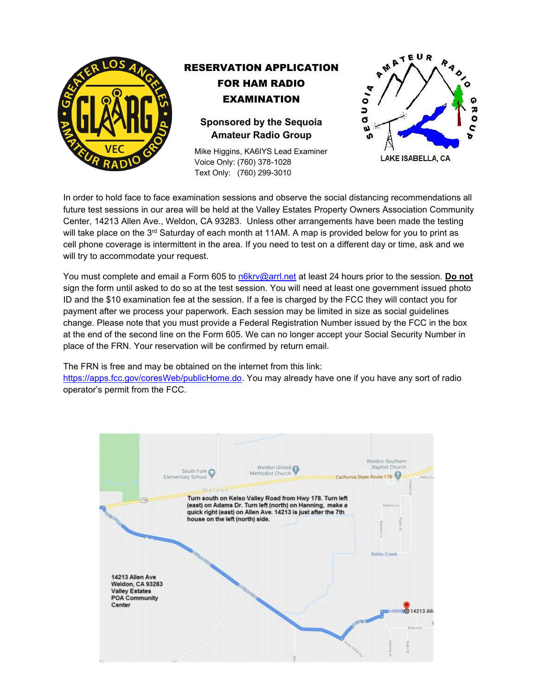

# RESERVATION APPLICATION FOR HAM RADIO EXAMINATION

**Sponsored by the Sequoia Amateur Radio Group**

Mike Higgins, KA6IYS Lead Examiner Voice Only: (760) 378-1028 Text Only: (760) 299-3010



In order to hold face to face examination sessions and observe the social distancing recommendations all future test sessions in our area will be held at the Valley Estates Property Owners Association Community Center, 14213 Allen Ave., Weldon, CA 93283. Unless other arrangements have been made the testing will take place on the 3<sup>rd</sup> Saturday of each month at 11AM. A map is provided below for you to print as cell phone coverage is intermittent in the area. If you need to test on a different day or time, ask and we will try to accommodate your request.

You must complete and email a Form 605 to [n6krv@arrl.net](mailto:n6krv@arrl.net) at least 24 hours prior to the session. **Do not** sign the form until asked to do so at the test session. You will need at least one government issued photo ID and the \$10 examination fee at the session. If a fee is charged by the FCC they will contact you for payment after we process your paperwork. Each session may be limited in size as social guidelines change. Please note that you must provide a Federal Registration Number issued by the FCC in the box at the end of the second line on the Form 605. We can no longer accept your Social Security Number in place of the FRN. Your reservation will be confirmed by return email.

The FRN is free and may be obtained on the internet from this link:

[https://apps.fcc.gov/coresWeb/publicHome.do.](https://apps.fcc.gov/coresWeb/publicHome.do) You may already have one if you have any sort of radio operator's permit from the FCC.

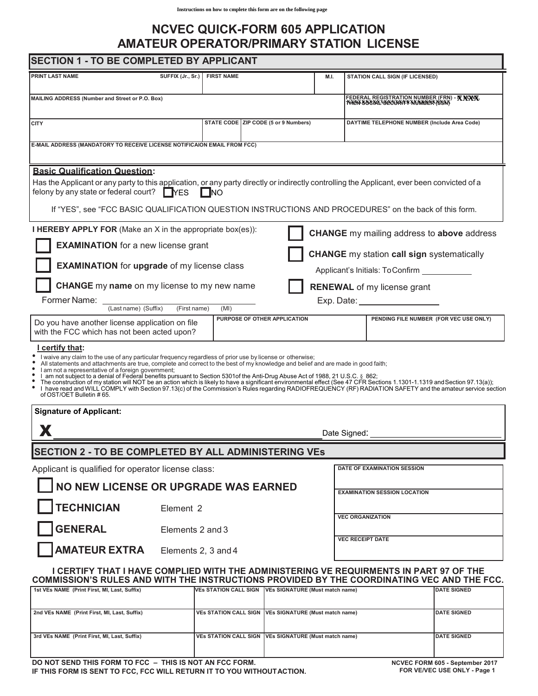## **NCVEC QUICK-FORM 605 APPLICATION AMATEUR OPERATOR/PRIMARY STATION LICENSE**

### **SECTION 1 - TO BE COMPLETED BY APPLICANT**

| Instructions on how to emplete this form are on the following page                                                                                                                                                                                                                                                                                                                                                                                                                                                                                                                      |                                                                 |                                                         |  |                                      |      |                                                                                                    |                                        |  |
|-----------------------------------------------------------------------------------------------------------------------------------------------------------------------------------------------------------------------------------------------------------------------------------------------------------------------------------------------------------------------------------------------------------------------------------------------------------------------------------------------------------------------------------------------------------------------------------------|-----------------------------------------------------------------|---------------------------------------------------------|--|--------------------------------------|------|----------------------------------------------------------------------------------------------------|----------------------------------------|--|
| <b>NCVEC QUICK-FORM 605 APPLICATION</b><br><b>AMATEUR OPERATOR/PRIMARY STATION LICENSE</b>                                                                                                                                                                                                                                                                                                                                                                                                                                                                                              |                                                                 |                                                         |  |                                      |      |                                                                                                    |                                        |  |
| <b>SECTION 1 - TO BE COMPLETED BY APPLICANT</b>                                                                                                                                                                                                                                                                                                                                                                                                                                                                                                                                         |                                                                 |                                                         |  |                                      |      |                                                                                                    |                                        |  |
| <b>PRINT LAST NAME</b>                                                                                                                                                                                                                                                                                                                                                                                                                                                                                                                                                                  |                                                                 | SUFFIX (Jr., Sr.) FIRST NAME                            |  |                                      | M.I. | STATION CALL SIGN (IF LICENSED)                                                                    |                                        |  |
| MAILING ADDRESS (Number and Street or P.O. Box)                                                                                                                                                                                                                                                                                                                                                                                                                                                                                                                                         |                                                                 |                                                         |  |                                      |      | FEDERAL REGISTRATION NUMBER (FRN) - <b>KNOWK,</b><br>T <del>NEW SOSIAL SECORITY NUMBER (SSN)</del> |                                        |  |
| <b>CITY</b>                                                                                                                                                                                                                                                                                                                                                                                                                                                                                                                                                                             |                                                                 |                                                         |  | STATE CODE ZIP CODE (5 or 9 Numbers) |      | DAYTIME TELEPHONE NUMBER (Include Area Code)                                                       |                                        |  |
| E-MAIL ADDRESS (MANDATORY TO RECEIVE LICENSE NOTIFICAION EMAIL FROM FCC)                                                                                                                                                                                                                                                                                                                                                                                                                                                                                                                |                                                                 |                                                         |  |                                      |      |                                                                                                    |                                        |  |
| <b>Basic Qualification Question:</b>                                                                                                                                                                                                                                                                                                                                                                                                                                                                                                                                                    |                                                                 |                                                         |  |                                      |      |                                                                                                    |                                        |  |
| Has the Applicant or any party to this application, or any party directly or indirectly controlling the Applicant, ever been convicted of a<br>felony by any state or federal court? $\Box$ YES                                                                                                                                                                                                                                                                                                                                                                                         |                                                                 | $\Box$ NO                                               |  |                                      |      |                                                                                                    |                                        |  |
| If "YES", see "FCC BASIC QUALIFICATION QUESTION INSTRUCTIONS AND PROCEDURES" on the back of this form.                                                                                                                                                                                                                                                                                                                                                                                                                                                                                  |                                                                 |                                                         |  |                                      |      |                                                                                                    |                                        |  |
| <b>I HEREBY APPLY FOR</b> (Make an X in the appropriate box(es)):                                                                                                                                                                                                                                                                                                                                                                                                                                                                                                                       |                                                                 |                                                         |  |                                      |      | <b>CHANGE</b> my mailing address to above address                                                  |                                        |  |
| <b>EXAMINATION</b> for a new license grant<br><b>CHANGE</b> my station call sign systematically                                                                                                                                                                                                                                                                                                                                                                                                                                                                                         |                                                                 |                                                         |  |                                      |      |                                                                                                    |                                        |  |
| <b>EXAMINATION</b> for upgrade of my license class                                                                                                                                                                                                                                                                                                                                                                                                                                                                                                                                      |                                                                 |                                                         |  |                                      |      | Applicant's Initials: To Confirm                                                                   |                                        |  |
| <b>CHANGE</b> my name on my license to my new name                                                                                                                                                                                                                                                                                                                                                                                                                                                                                                                                      |                                                                 |                                                         |  |                                      |      | <b>RENEWAL</b> of my license grant                                                                 |                                        |  |
| Former Name:<br>(Last name) (Suffix)<br>(First name)                                                                                                                                                                                                                                                                                                                                                                                                                                                                                                                                    |                                                                 |                                                         |  |                                      |      | Exp. Date: <u>_____________________</u>                                                            |                                        |  |
| Do you have another license application on file                                                                                                                                                                                                                                                                                                                                                                                                                                                                                                                                         |                                                                 | (MI)                                                    |  | PURPOSE OF OTHER APPLICATION         |      |                                                                                                    | PENDING FILE NUMBER (FOR VEC USE ONLY) |  |
| with the FCC which has not been acted upon?                                                                                                                                                                                                                                                                                                                                                                                                                                                                                                                                             |                                                                 |                                                         |  |                                      |      |                                                                                                    |                                        |  |
| I certify that:<br>I waive any claim to the use of any particular frequency regardless of prior use by license or otherwise;<br>All statements and attachments are true, complete and correct to the best of my knowledge and belief and are made in good faith;<br>I am not a representative of a foreign government;<br>I am not subject to a denial of Federal benefits pursuant to Section 5301of the Anti-Drug Abuse Act of 1988, 21 U.S.C. § 862;<br>The construction of my station will NOT be an action which is likely to have a significant envir<br>of OST/OET Bulletin #65. |                                                                 |                                                         |  |                                      |      |                                                                                                    |                                        |  |
| <b>Signature of Applicant:</b>                                                                                                                                                                                                                                                                                                                                                                                                                                                                                                                                                          |                                                                 |                                                         |  |                                      |      |                                                                                                    |                                        |  |
| X                                                                                                                                                                                                                                                                                                                                                                                                                                                                                                                                                                                       |                                                                 |                                                         |  |                                      |      | Date Signed:                                                                                       |                                        |  |
| <b>SECTION 2 - TO BE COMPLETED BY ALL ADMINISTERING VES</b>                                                                                                                                                                                                                                                                                                                                                                                                                                                                                                                             |                                                                 |                                                         |  |                                      |      |                                                                                                    |                                        |  |
| Applicant is qualified for operator license class:                                                                                                                                                                                                                                                                                                                                                                                                                                                                                                                                      |                                                                 |                                                         |  |                                      |      | DATE OF EXAMINATION SESSION                                                                        |                                        |  |
| NO NEW LICENSE OR UPGRADE WAS EARNED                                                                                                                                                                                                                                                                                                                                                                                                                                                                                                                                                    |                                                                 |                                                         |  |                                      |      | <b>EXAMINATION SESSION LOCATION</b>                                                                |                                        |  |
| <b>TECHNICIAN</b><br>Element 2                                                                                                                                                                                                                                                                                                                                                                                                                                                                                                                                                          |                                                                 |                                                         |  |                                      |      | <b>VEC ORGANIZATION</b>                                                                            |                                        |  |
| <b>GENERAL</b><br>Elements 2 and 3                                                                                                                                                                                                                                                                                                                                                                                                                                                                                                                                                      |                                                                 |                                                         |  |                                      |      |                                                                                                    |                                        |  |
| <b>AMATEUR EXTRA</b> Elements 2, 3 and 4                                                                                                                                                                                                                                                                                                                                                                                                                                                                                                                                                |                                                                 |                                                         |  |                                      |      | <b>VEC RECEIPT DATE</b>                                                                            |                                        |  |
| I CERTIFY THAT I HAVE COMPLIED WITH THE ADMINISTERING VE REQUIRMENTS IN PART 97 OF THE<br>COMMISSION'S RULES AND WITH THE INSTRUCTIONS PROVIDED BY THE COORDINATING VEC AND THE FCC.                                                                                                                                                                                                                                                                                                                                                                                                    |                                                                 |                                                         |  |                                      |      |                                                                                                    |                                        |  |
| 1st VEs NAME (Print First, MI, Last, Suffix)                                                                                                                                                                                                                                                                                                                                                                                                                                                                                                                                            |                                                                 | VEs STATION CALL SIGN   VEs SIGNATURE (Must match name) |  |                                      |      |                                                                                                    | <b>DATE SIGNED</b>                     |  |
| 2nd VEs NAME (Print First, MI, Last, Suffix)                                                                                                                                                                                                                                                                                                                                                                                                                                                                                                                                            | VEs STATION CALL SIGN   VEs SIGNATURE (Must match name)         |                                                         |  |                                      |      |                                                                                                    | <b>DATE SIGNED</b>                     |  |
| 3rd VEs NAME (Print First, MI, Last, Suffix)                                                                                                                                                                                                                                                                                                                                                                                                                                                                                                                                            | <b>VEs STATION CALL SIGN</b><br>VEs SIGNATURE (Must match name) |                                                         |  |                                      |      |                                                                                                    | <b>DATE SIGNED</b>                     |  |